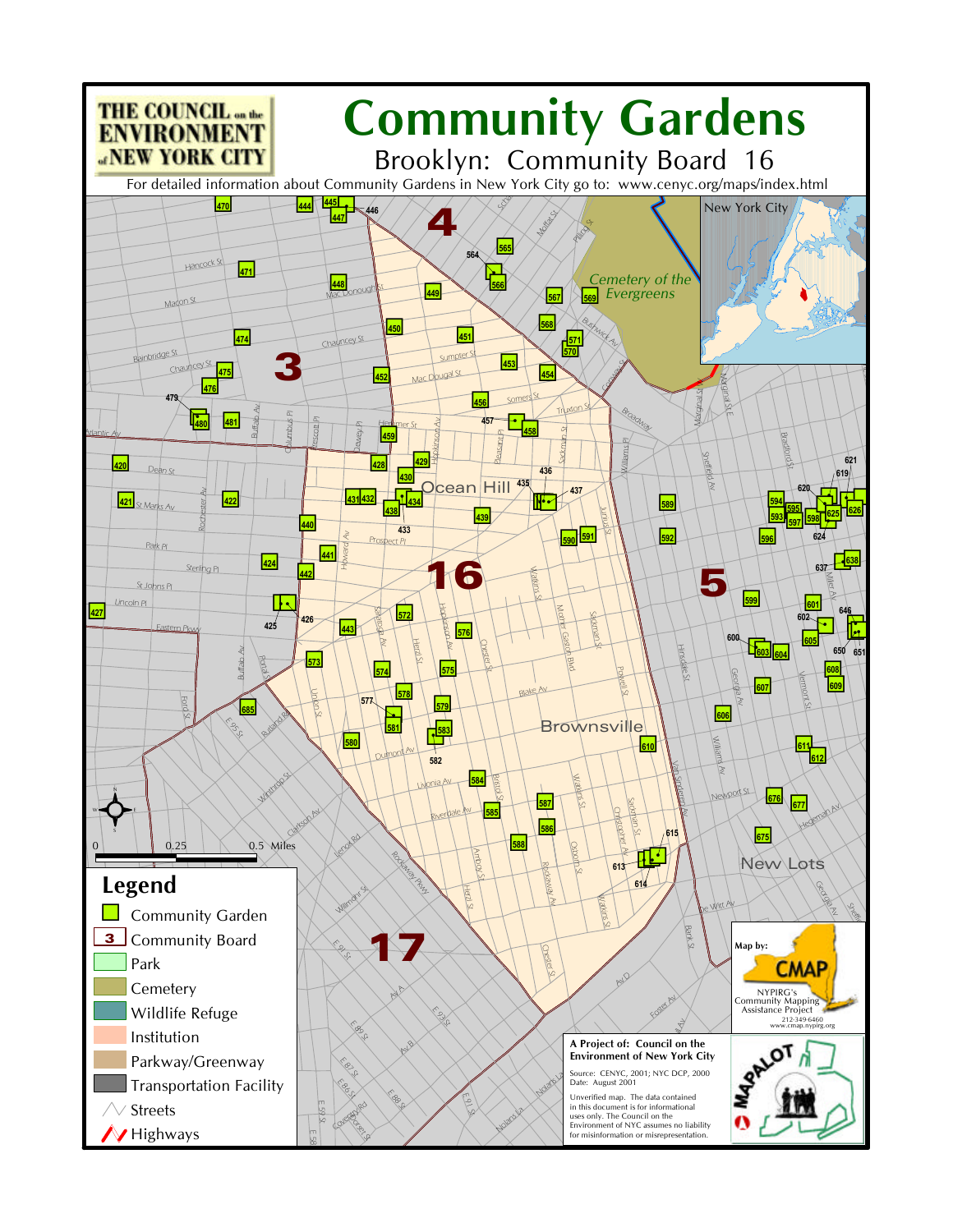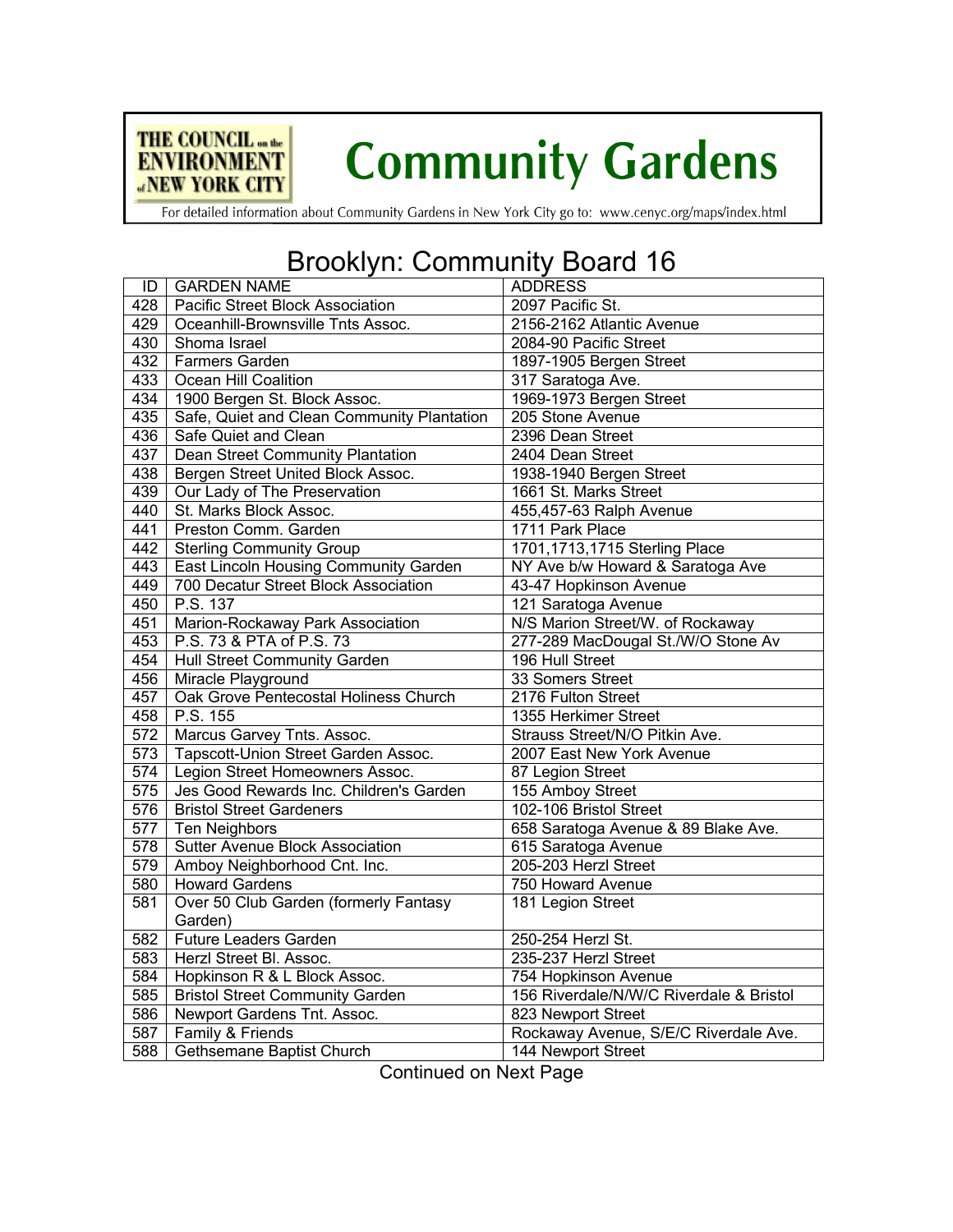

## **Community Gardens**

For detailed information about Community Gardens in New York City go to: www.cenyc.org/maps/index.html

## Brooklyn: Community Board 16

| ID               | <b>GARDEN NAME</b>                           | <b>ADDRESS</b>                          |
|------------------|----------------------------------------------|-----------------------------------------|
| $\overline{428}$ | Pacific Street Block Association             | 2097 Pacific St.                        |
| 429              | Oceanhill-Brownsville Tnts Assoc.            | 2156-2162 Atlantic Avenue               |
| 430              | Shoma Israel                                 | 2084-90 Pacific Street                  |
| 432              | <b>Farmers Garden</b>                        | 1897-1905 Bergen Street                 |
| 433              | Ocean Hill Coalition                         | 317 Saratoga Ave.                       |
| 434              | 1900 Bergen St. Block Assoc.                 | 1969-1973 Bergen Street                 |
| 435              | Safe, Quiet and Clean Community Plantation   | 205 Stone Avenue                        |
| 436              | Safe Quiet and Clean                         | 2396 Dean Street                        |
| 437              | <b>Dean Street Community Plantation</b>      | 2404 Dean Street                        |
| 438              | Bergen Street United Block Assoc.            | 1938-1940 Bergen Street                 |
| 439              | Our Lady of The Preservation                 | 1661 St. Marks Street                   |
| 440              | St. Marks Block Assoc.                       | 455,457-63 Ralph Avenue                 |
| 441              | Preston Comm. Garden                         | 1711 Park Place                         |
| 442              | <b>Sterling Community Group</b>              | 1701, 1713, 1715 Sterling Place         |
| 443              | <b>East Lincoln Housing Community Garden</b> | NY Ave b/w Howard & Saratoga Ave        |
| 449              | 700 Decatur Street Block Association         | 43-47 Hopkinson Avenue                  |
| 450              | P.S. 137                                     | 121 Saratoga Avenue                     |
| 451              | Marion-Rockaway Park Association             | N/S Marion Street/W. of Rockaway        |
| 453              | P.S. 73 & PTA of P.S. 73                     | 277-289 MacDougal St./W/O Stone Av      |
| 454              | <b>Hull Street Community Garden</b>          | 196 Hull Street                         |
| 456              | Miracle Playground                           | 33 Somers Street                        |
| 457              | Oak Grove Pentecostal Holiness Church        | 2176 Fulton Street                      |
| 458              | P.S. 155                                     | 1355 Herkimer Street                    |
| $\overline{572}$ | Marcus Garvey Tnts. Assoc.                   | Strauss Street/N/O Pitkin Ave.          |
| $\overline{573}$ | Tapscott-Union Street Garden Assoc.          | 2007 East New York Avenue               |
| $\overline{574}$ | Legion Street Homeowners Assoc.              | 87 Legion Street                        |
| 575              | Jes Good Rewards Inc. Children's Garden      | 155 Amboy Street                        |
| 576              | <b>Bristol Street Gardeners</b>              | 102-106 Bristol Street                  |
| $\overline{577}$ | <b>Ten Neighbors</b>                         | 658 Saratoga Avenue & 89 Blake Ave.     |
| 578              | <b>Sutter Avenue Block Association</b>       | 615 Saratoga Avenue                     |
| 579              | Amboy Neighborhood Cnt. Inc.                 | 205-203 Herzl Street                    |
| 580              | <b>Howard Gardens</b>                        | 750 Howard Avenue                       |
| 581              | Over 50 Club Garden (formerly Fantasy        | 181 Legion Street                       |
|                  | Garden)                                      |                                         |
| 582              | <b>Future Leaders Garden</b>                 | 250-254 Herzl St.                       |
| 583              | Herzl Street Bl. Assoc.                      | 235-237 Herzl Street                    |
| 584              | Hopkinson R & L Block Assoc.                 | 754 Hopkinson Avenue                    |
| 585              | <b>Bristol Street Community Garden</b>       | 156 Riverdale/N/W/C Riverdale & Bristol |
| 586              | Newport Gardens Tnt. Assoc.                  | 823 Newport Street                      |
| 587              | Family & Friends                             | Rockaway Avenue, S/E/C Riverdale Ave.   |
| 588              | Gethsemane Baptist Church                    | 144 Newport Street                      |

Continued on Next Page